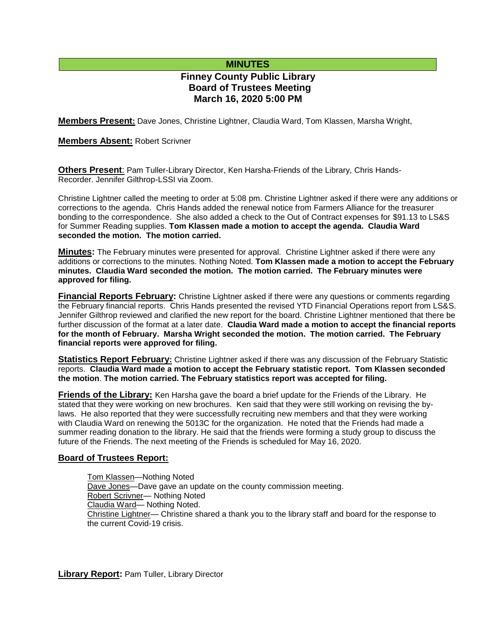# **MINUTES**

# **Finney County Public Library Board of Trustees Meeting March 16, 2020 5:00 PM**

**Members Present:** Dave Jones, Christine Lightner, Claudia Ward, Tom Klassen, Marsha Wright,

## **Members Absent:** Robert Scrivner

**Others Present**: Pam Tuller-Library Director, Ken Harsha-Friends of the Library, Chris Hands-Recorder. Jennifer Gilthrop-LSSI via Zoom.

Christine Lightner called the meeting to order at 5:08 pm. Christine Lightner asked if there were any additions or corrections to the agenda. Chris Hands added the renewal notice from Farmers Alliance for the treasurer bonding to the correspondence. She also added a check to the Out of Contract expenses for \$91.13 to LS&S for Summer Reading supplies. **Tom Klassen made a motion to accept the agenda. Claudia Ward seconded the motion. The motion carried.**

**Minutes:** The February minutes were presented for approval. Christine Lightner asked if there were any additions or corrections to the minutes. Nothing Noted. **Tom Klassen made a motion to accept the February minutes. Claudia Ward seconded the motion. The motion carried. The February minutes were approved for filing.** 

**Financial Reports February:** Christine Lightner asked if there were any questions or comments regarding the February financial reports. Chris Hands presented the revised YTD Financial Operations report from LS&S. Jennifer Gilthrop reviewed and clarified the new report for the board. Christine Lightner mentioned that there be further discussion of the format at a later date. **Claudia Ward made a motion to accept the financial reports for the month of February. Marsha Wright seconded the motion. The motion carried. The February financial reports were approved for filing.**

**Statistics Report February:** Christine Lightner asked if there was any discussion of the February Statistic reports. **Claudia Ward made a motion to accept the February statistic report. Tom Klassen seconded the motion**. **The motion carried. The February statistics report was accepted for filing.**

**Friends of the Library:** Ken Harsha gave the board a brief update for the Friends of the Library. He stated that they were working on new brochures. Ken said that they were still working on revising the bylaws. He also reported that they were successfully recruiting new members and that they were working with Claudia Ward on renewing the 5013C for the organization. He noted that the Friends had made a summer reading donation to the library. He said that the friends were forming a study group to discuss the future of the Friends. The next meeting of the Friends is scheduled for May 16, 2020.

# **Board of Trustees Report:**

Tom Klassen—Nothing Noted Dave Jones—Dave gave an update on the county commission meeting. Robert Scrivner— Nothing Noted Claudia Ward— Nothing Noted. Christine Lightner— Christine shared a thank you to the library staff and board for the response to the current Covid-19 crisis.

**Library Report:** Pam Tuller, Library Director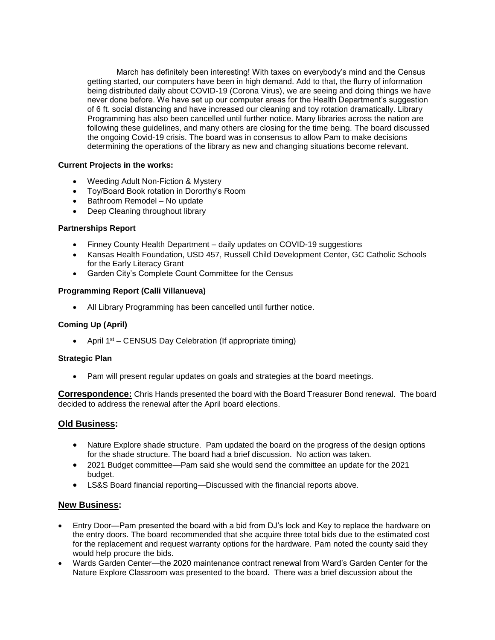March has definitely been interesting! With taxes on everybody's mind and the Census getting started, our computers have been in high demand. Add to that, the flurry of information being distributed daily about COVID-19 (Corona Virus), we are seeing and doing things we have never done before. We have set up our computer areas for the Health Department's suggestion of 6 ft. social distancing and have increased our cleaning and toy rotation dramatically. Library Programming has also been cancelled until further notice. Many libraries across the nation are following these guidelines, and many others are closing for the time being. The board discussed the ongoing Covid-19 crisis. The board was in consensus to allow Pam to make decisions determining the operations of the library as new and changing situations become relevant.

# **Current Projects in the works:**

- Weeding Adult Non-Fiction & Mystery
- Toy/Board Book rotation in Dororthy's Room
- Bathroom Remodel No update
- Deep Cleaning throughout library

#### **Partnerships Report**

- Finney County Health Department daily updates on COVID-19 suggestions
- Kansas Health Foundation, USD 457, Russell Child Development Center, GC Catholic Schools for the Early Literacy Grant
- Garden City's Complete Count Committee for the Census

## **Programming Report (Calli Villanueva)**

All Library Programming has been cancelled until further notice.

### **Coming Up (April)**

• April  $1^{st}$  – CENSUS Day Celebration (If appropriate timing)

#### **Strategic Plan**

Pam will present regular updates on goals and strategies at the board meetings.

**Correspondence:** Chris Hands presented the board with the Board Treasurer Bond renewal. The board decided to address the renewal after the April board elections.

# **Old Business:**

- Nature Explore shade structure. Pam updated the board on the progress of the design options for the shade structure. The board had a brief discussion. No action was taken.
- 2021 Budget committee—Pam said she would send the committee an update for the 2021 budget.
- LS&S Board financial reporting—Discussed with the financial reports above.

#### **New Business:**

- Entry Door—Pam presented the board with a bid from DJ's lock and Key to replace the hardware on the entry doors. The board recommended that she acquire three total bids due to the estimated cost for the replacement and request warranty options for the hardware. Pam noted the county said they would help procure the bids.
- Wards Garden Center—the 2020 maintenance contract renewal from Ward's Garden Center for the Nature Explore Classroom was presented to the board. There was a brief discussion about the